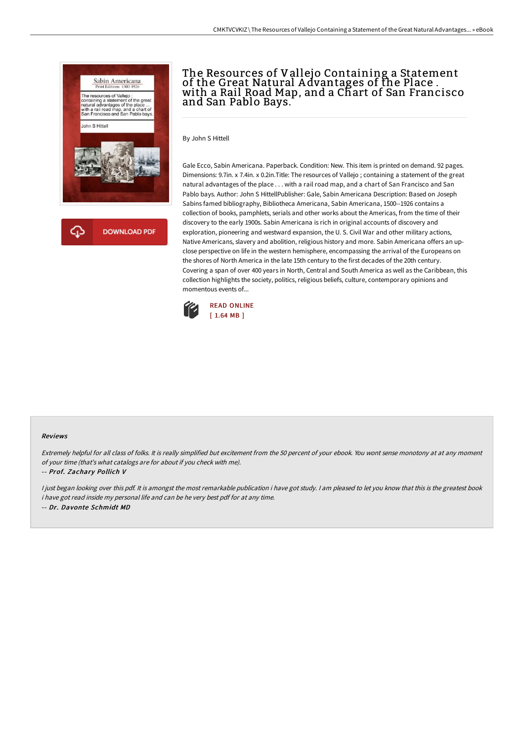

## The Resources of Vallejo Containing a Statement of the Great Natural Advantages of the Place .<br>with a Rail Road Map, and a Chart of San Francisco and San Pablo Bays.

By John S Hittell

Gale Ecco, Sabin Americana. Paperback. Condition: New. This item is printed on demand. 92 pages. Dimensions: 9.7in. x 7.4in. x 0.2in.Title: The resources of Vallejo ; containing a statement of the great natural advantages of the place . . . with a rail road map, and a chart of San Francisco and San Pablo bays. Author: John S HittellPublisher: Gale, Sabin Americana Description: Based on Joseph Sabins famed bibliography, Bibliotheca Americana, Sabin Americana, 1500--1926 contains a collection of books, pamphlets, serials and other works about the Americas, from the time of their discovery to the early 1900s. Sabin Americana is rich in original accounts of discovery and exploration, pioneering and westward expansion, the U. S. Civil War and other military actions, Native Americans, slavery and abolition, religious history and more. Sabin Americana offers an upclose perspective on life in the western hemisphere, encompassing the arrival of the Europeans on the shores of North America in the late 15th century to the first decades of the 20th century. Covering a span of over 400 years in North, Central and South America as well as the Caribbean, this collection highlights the society, politics, religious beliefs, culture, contemporary opinions and momentous events of...



## Reviews

Extremely helpful for all class of folks. It is really simplified but excitement from the 50 percent of your ebook. You wont sense monotony at at any moment of your time (that's what catalogs are for about if you check with me).

-- Prof. Zachary Pollich V

I just began looking over this pdf. It is amongst the most remarkable publication i have got study. I am pleased to let you know that this is the greatest book i have got read inside my personal life and can be he very best pdf for at any time. -- Dr. Davonte Schmidt MD